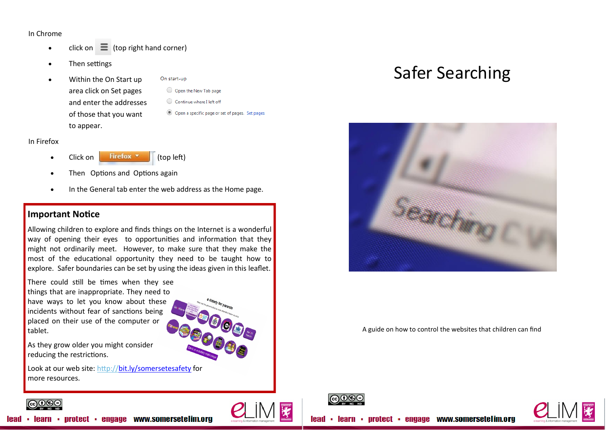### In Chrome

- click on  $\equiv$  (top right hand corner)
- Then settings
- Within the On Start up area click on Set pages and enter the addresses of those that you want to appear.
- On start-up O Open the New Tab page
- Continue where I left off
- O Open a specific page or set of pages. Set pages

#### In Firefox

- Click on **Firefox**  $\bullet$  (top left)
- Then Options and Options again
- In the General tab enter the web address as the Home page.

# **Important Notice**

Allowing children to explore and finds things on the Internet is a wonderful way of opening their eyes to opportunities and information that they might not ordinarily meet. However, to make sure that they make the most of the educational opportunity they need to be taught how to explore. Safer boundaries can be set by using the ideas given in this leaflet.

There could still be times when they see things that are inappropriate. They need to have ways to let you know about these incidents without fear of sanctions being placed on their use of the computer or tablet.



As they grow older you might consider reducing the restrictions.

Look at our web site: <http://bit.ly/somersetesafety> for more resources.

# Safer Searching



A guide on how to control the websites that children can find